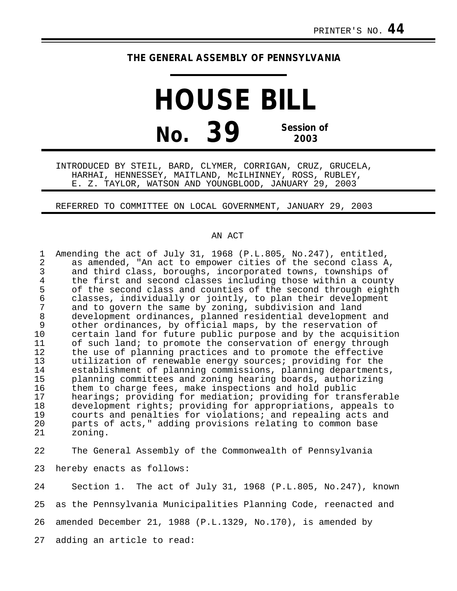## **THE GENERAL ASSEMBLY OF PENNSYLVANIA**

**HOUSE BILL No. 39 Session of 2003**

INTRODUCED BY STEIL, BARD, CLYMER, CORRIGAN, CRUZ, GRUCELA, HARHAI, HENNESSEY, MAITLAND, McILHINNEY, ROSS, RUBLEY, E. Z. TAYLOR, WATSON AND YOUNGBLOOD, JANUARY 29, 2003

## REFERRED TO COMMITTEE ON LOCAL GOVERNMENT, JANUARY 29, 2003

## AN ACT

| 1<br>2<br>3<br>4 | Amending the act of July 31, 1968 (P.L.805, No.247), entitled,<br>as amended, "An act to empower cities of the second class A,<br>and third class, boroughs, incorporated towns, townships of<br>the first and second classes including those within a county |
|------------------|---------------------------------------------------------------------------------------------------------------------------------------------------------------------------------------------------------------------------------------------------------------|
| 5                | of the second class and counties of the second through eighth                                                                                                                                                                                                 |
| 6                | classes, individually or jointly, to plan their development                                                                                                                                                                                                   |
| 7                | and to govern the same by zoning, subdivision and land                                                                                                                                                                                                        |
| 8                | development ordinances, planned residential development and                                                                                                                                                                                                   |
| 9                | other ordinances, by official maps, by the reservation of                                                                                                                                                                                                     |
| 10               | certain land for future public purpose and by the acquisition                                                                                                                                                                                                 |
| 11               | of such land; to promote the conservation of energy through                                                                                                                                                                                                   |
| 12               | the use of planning practices and to promote the effective                                                                                                                                                                                                    |
| 13               | utilization of renewable energy sources; providing for the                                                                                                                                                                                                    |
| 14               | establishment of planning commissions, planning departments,                                                                                                                                                                                                  |
| 15               | planning committees and zoning hearing boards, authorizing                                                                                                                                                                                                    |
| 16               | them to charge fees, make inspections and hold public                                                                                                                                                                                                         |
| 17               | hearings; providing for mediation; providing for transferable                                                                                                                                                                                                 |
| 18               | development rights; providing for appropriations, appeals to                                                                                                                                                                                                  |
| 19               | courts and penalties for violations; and repealing acts and                                                                                                                                                                                                   |
| 20               | parts of acts," adding provisions relating to common base                                                                                                                                                                                                     |
| 21               | zoning.                                                                                                                                                                                                                                                       |
|                  |                                                                                                                                                                                                                                                               |

22 The General Assembly of the Commonwealth of Pennsylvania

23 hereby enacts as follows:

24 Section 1. The act of July 31, 1968 (P.L.805, No.247), known 25 as the Pennsylvania Municipalities Planning Code, reenacted and 26 amended December 21, 1988 (P.L.1329, No.170), is amended by 27 adding an article to read: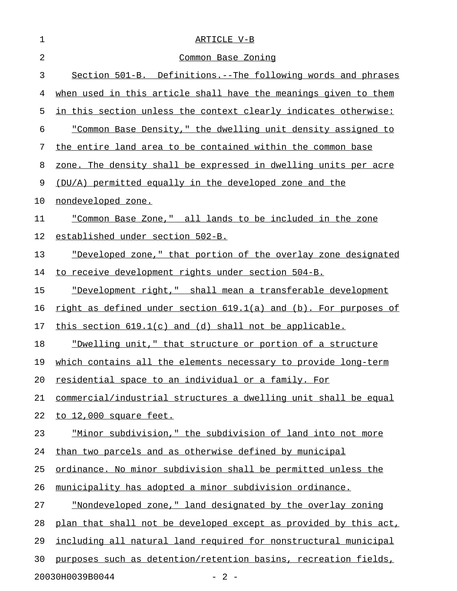| 1  | ARTICLE V-B                                                                          |
|----|--------------------------------------------------------------------------------------|
| 2  | <u>Common Base Zoning</u>                                                            |
| 3  | Section 501-B. Definitions.--The following words and phrases                         |
| 4  | when used in this article shall have the meanings given to them                      |
| 5  | in this section unless the context clearly indicates otherwise:                      |
| 6  | "Common Base Density," the dwelling unit density assigned to                         |
| 7  | the entire land area to be contained within the common base                          |
| 8  | zone. The density shall be expressed in dwelling units per acre                      |
| 9  | (DU/A) permitted equally in the developed zone and the                               |
| 10 | nondeveloped zone.                                                                   |
| 11 | "Common Base Zone," all lands to be included in the zone                             |
| 12 | established under section 502-B.                                                     |
| 13 | "Developed zone," that portion of the overlay zone designated                        |
| 14 | to receive development rights under section 504-B.                                   |
| 15 | <u>"Development right," shall mean a transferable development</u>                    |
| 16 | <u>right as defined under section <math>619.1(a)</math> and (b). For purposes of</u> |
| 17 | this section $619.1(c)$ and (d) shall not be applicable.                             |
| 18 | "Dwelling unit," that structure or portion of a structure                            |
| 19 | which contains all the elements necessary to provide long-term                       |
| 20 | residential space to an individual or a family. For                                  |
| 21 | commercial/industrial structures a dwelling unit shall be equal                      |
| 22 | to 12,000 square feet.                                                               |
| 23 | "Minor subdivision," the subdivision of land into not more                           |
| 24 | than two parcels and as otherwise defined by municipal                               |
| 25 | ordinance. No minor subdivision shall be permitted unless the                        |
| 26 | municipality has adopted a minor subdivision ordinance.                              |
| 27 | "Nondeveloped zone," land designated by the overlay zoning                           |
| 28 | plan that shall not be developed except as provided by this act,                     |
| 29 | including all natural land required for nonstructural municipal                      |
| 30 | purposes such as detention/retention basins, recreation fields,                      |
|    | 20030H0039B0044<br>$-2-$                                                             |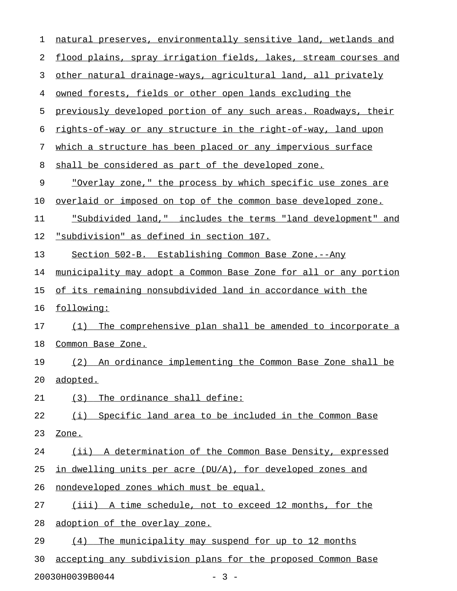| 1  | natural preserves, environmentally sensitive land, wetlands and  |
|----|------------------------------------------------------------------|
| 2  | flood plains, spray irrigation fields, lakes, stream courses and |
| 3  | other natural drainage-ways, agricultural land, all privately    |
| 4  | owned forests, fields or other open lands excluding the          |
| 5  | previously developed portion of any such areas. Roadways, their  |
| 6  | rights-of-way or any structure in the right-of-way, land upon    |
| 7  | which a structure has been placed or any impervious surface      |
| 8  | shall be considered as part of the developed zone.               |
| 9  | "Overlay zone," the process by which specific use zones are      |
| 10 | overlaid or imposed on top of the common base developed zone.    |
| 11 | "Subdivided land," includes the terms "land development" and     |
| 12 | <u>"subdivision" as defined in section 107.</u>                  |
| 13 | Section 502-B. Establishing Common Base Zone.--Any               |
| 14 | municipality may adopt a Common Base Zone for all or any portion |
| 15 | of its remaining nonsubdivided land in accordance with the       |
| 16 | following:                                                       |
| 17 | The comprehensive plan shall be amended to incorporate a<br>(1)  |
| 18 | Common Base Zone.                                                |
| 19 | An ordinance implementing the Common Base Zone shall be<br>(2)   |
| 20 | adopted.                                                         |
| 21 | The ordinance shall define:<br>(3)                               |
| 22 | Specific land area to be included in the Common Base<br>(i)      |
| 23 | Zone.                                                            |
| 24 | (ii) A determination of the Common Base Density, expressed       |
| 25 | in dwelling units per acre (DU/A), for developed zones and       |
| 26 | nondeveloped zones which must be equal.                          |
| 27 | (iii) A time schedule, not to exceed 12 months, for the          |
| 28 | adoption of the overlay zone.                                    |
| 29 | The municipality may suspend for up to 12 months<br>(4)          |
| 30 | accepting any subdivision plans for the proposed Common Base     |
|    | $-3 -$<br>20030H0039B0044                                        |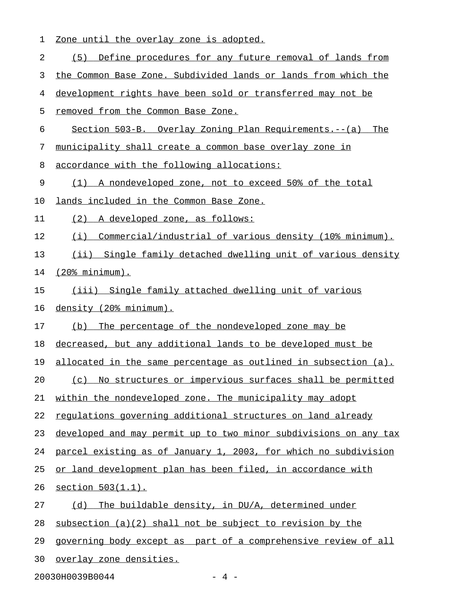| 1  | Zone until the overlay zone is adopted.                          |
|----|------------------------------------------------------------------|
| 2  | Define procedures for any future removal of lands from<br>(5)    |
| 3  | the Common Base Zone. Subdivided lands or lands from which the   |
| 4  | development rights have been sold or transferred may not be      |
| 5  | removed from the Common Base Zone.                               |
| 6  | Section 503-B. Overlay Zoning Plan Requirements.--(a) The        |
| 7  | municipality shall create a common base overlay zone in          |
| 8  | accordance with the following allocations:                       |
| 9  | (1) A nondeveloped zone, not to exceed 50% of the total          |
| 10 | lands included in the Common Base Zone.                          |
| 11 | (2)<br>A developed zone, as follows:                             |
| 12 | (i) Commercial/industrial of various density (10% minimum).      |
| 13 | (ii) Single family detached dwelling unit of various density     |
| 14 | $(20\$ minimum).                                                 |
| 15 | (iii) Single family attached dwelling unit of various            |
| 16 | density (20% minimum).                                           |
| 17 | The percentage of the nondeveloped zone may be<br>(b)            |
| 18 | decreased, but any additional lands to be developed must be      |
| 19 | allocated in the same percentage as outlined in subsection (a).  |
| 20 | (c) No structures or impervious surfaces shall be permitted      |
| 21 | within the nondeveloped zone. The municipality may adopt         |
| 22 | regulations governing additional structures on land already      |
| 23 | developed and may permit up to two minor subdivisions on any tax |
| 24 | parcel existing as of January 1, 2003, for which no subdivision  |
| 25 | or land development plan has been filed, in accordance with      |
| 26 | section 503(1.1).                                                |
| 27 | (d) The buildable density, in DU/A, determined under             |
| 28 | subsection $(a)(2)$ shall not be subject to revision by the      |
| 29 | governing body except as part of a comprehensive review of all   |
| 30 | overlay zone densities.                                          |

20030H0039B0044 - 4 -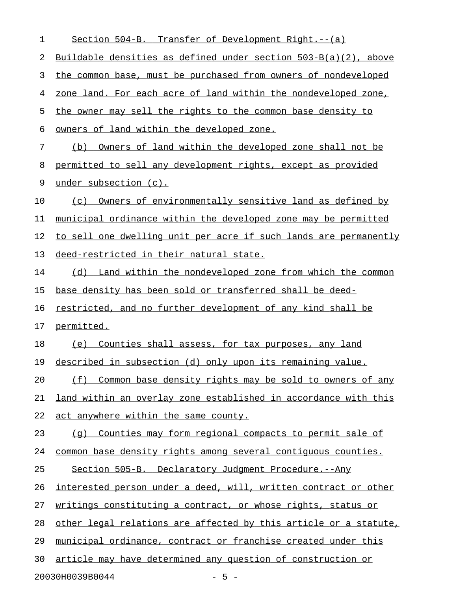| 1  | Section 504-B. Transfer of Development Right.--(a)                 |
|----|--------------------------------------------------------------------|
| 2  | Buildable densities as defined under section $503-B(a)(2)$ , above |
| 3  | the common base, must be purchased from owners of nondeveloped     |
| 4  | zone land. For each acre of land within the nondeveloped zone,     |
| 5  | the owner may sell the rights to the common base density to        |
| 6  | owners of land within the developed zone.                          |
| 7  | Owners of land within the developed zone shall not be<br>(b)       |
| 8  | permitted to sell any development rights, except as provided       |
| 9  | under subsection (c).                                              |
| 10 | Owners of environmentally sensitive land as defined by<br>(c)      |
| 11 | municipal ordinance within the developed zone may be permitted     |
| 12 | to sell one dwelling unit per acre if such lands are permanently   |
| 13 | deed-restricted in their natural state.                            |
| 14 | (d) Land within the nondeveloped zone from which the common        |
| 15 | base density has been sold or transferred shall be deed-           |
| 16 | restricted, and no further development of any kind shall be        |
| 17 | permitted.                                                         |
| 18 | (e) Counties shall assess, for tax purposes, any land              |
| 19 | described in subsection (d) only upon its remaining value.         |
| 20 | (f) Common base density rights may be sold to owners of any        |
| 21 | land within an overlay zone established in accordance with this    |
| 22 | act anywhere within the same county.                               |
| 23 | (q) Counties may form regional compacts to permit sale of          |
| 24 | common base density rights among several contiguous counties.      |
| 25 | Section 505-B. Declaratory Judgment Procedure.--Any                |
| 26 | interested person under a deed, will, written contract or other    |
| 27 | writings constituting a contract, or whose rights, status or       |
| 28 | other legal relations are affected by this article or a statute,   |
| 29 | municipal ordinance, contract or franchise created under this      |
| 30 | article may have determined any question of construction or        |
|    | 20030H0039B0044<br>$-5 -$                                          |